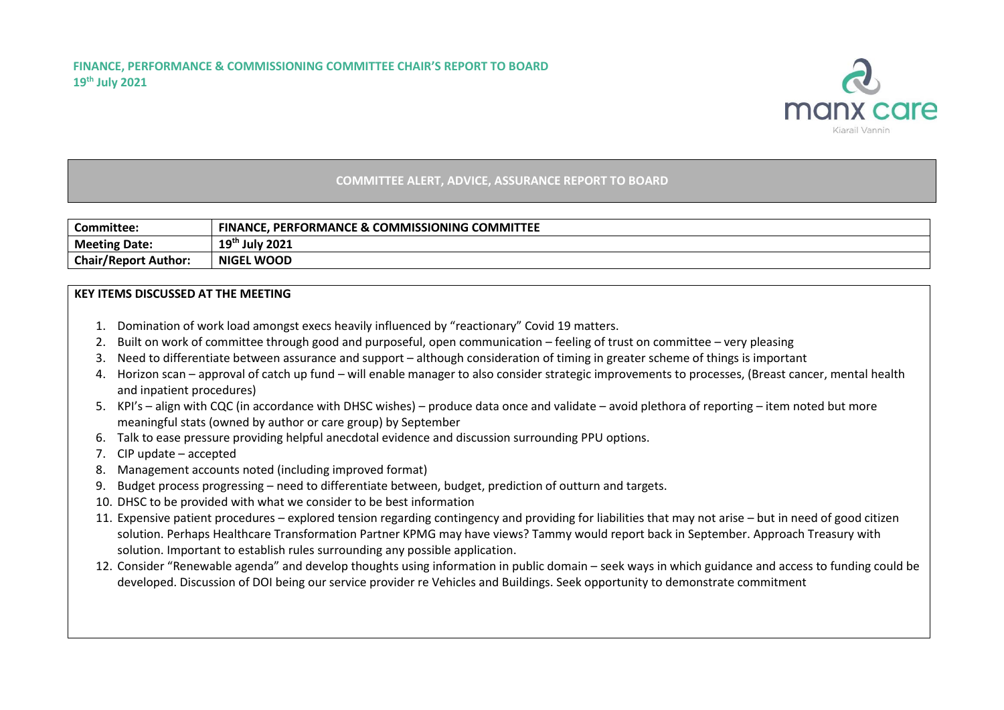

## **COMMITTEE ALERT, ADVICE, ASSURANCE REPORT TO BOARD**

| Committee:                  | <b>FINANCE, PERFORMANCE &amp; COMMISSIONING COMMITTEE</b> |
|-----------------------------|-----------------------------------------------------------|
| <b>Meeting Date:</b>        | 1 Q <sup>th</sup><br><b>July 2021</b><br>--               |
| <b>Chair/Report Author:</b> | <b>NIGEL WOOD</b>                                         |

## **KEY ITEMS DISCUSSED AT THE MEETING**

- 1. Domination of work load amongst execs heavily influenced by "reactionary" Covid 19 matters.
- 2. Built on work of committee through good and purposeful, open communication feeling of trust on committee very pleasing
- 3. Need to differentiate between assurance and support although consideration of timing in greater scheme of things is important
- 4. Horizon scan approval of catch up fund will enable manager to also consider strategic improvements to processes, (Breast cancer, mental health and inpatient procedures)
- 5. KPI's align with CQC (in accordance with DHSC wishes) produce data once and validate avoid plethora of reporting item noted but more meaningful stats (owned by author or care group) by September
- 6. Talk to ease pressure providing helpful anecdotal evidence and discussion surrounding PPU options.
- 7. CIP update accepted
- 8. Management accounts noted (including improved format)
- 9. Budget process progressing need to differentiate between, budget, prediction of outturn and targets.
- 10. DHSC to be provided with what we consider to be best information
- 11. Expensive patient procedures explored tension regarding contingency and providing for liabilities that may not arise but in need of good citizen solution. Perhaps Healthcare Transformation Partner KPMG may have views? Tammy would report back in September. Approach Treasury with solution. Important to establish rules surrounding any possible application.
- 12. Consider "Renewable agenda" and develop thoughts using information in public domain seek ways in which guidance and access to funding could be developed. Discussion of DOI being our service provider re Vehicles and Buildings. Seek opportunity to demonstrate commitment